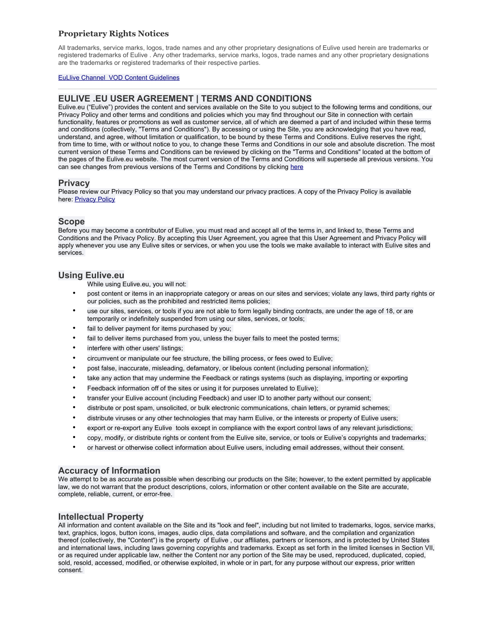All trademarks, service marks, logos, trade names and any other proprietary designations of Eulive used herein are trademarks or registered trademarks of Eulive . Any other trademarks, service marks, logos, trade names and any other proprietary designations are the trademarks or registered trademarks of their respective parties.

#### [EuLlive Channel VOD Content Guidelines](https://eulive.eu/roku/content-guidelines)

# **EULIVE .EU USER AGREEMENT | TERMS AND CONDITIONS**

Eulive.eu ("Eulive") provides the content and services available on the Site to you subject to the following terms and conditions, our Privacy Policy and other terms and conditions and policies which you may find throughout our Site in connection with certain functionality, features or promotions as well as customer service, all of which are deemed a part of and included within these terms and conditions (collectively, "Terms and Conditions"). By accessing or using the Site, you are acknowledging that you have read, understand, and agree, without limitation or qualification, to be bound by these Terms and Conditions. Eulive reserves the right, from time to time, with or without notice to you, to change these Terms and Conditions in our sole and absolute discretion. The most current version of these Terms and Conditions can be reviewed by clicking on the "Terms and Conditions" located at the bottom of the pages of the Eulive.eu website. The most current version of the Terms and Conditions will supersede all previous versions. You can see changes from previous versions of the Terms and Conditions by clicking [here](http://eulive.eu/terms)

## **Privacy**

Please review our Privacy Policy so that you may understand our privacy practices. A copy of the Privacy Policy is available here: [Privacy Policy](http://eulive.eu/Privacy_Policy)

## **Scope**

Before you may become a contributor of Eulive, you must read and accept all of the terms in, and linked to, these Terms and Conditions and the Privacy Policy. By accepting this User Agreement, you agree that this User Agreement and Privacy Policy will apply whenever you use any Eulive sites or services, or when you use the tools we make available to interact with Eulive sites and services.

## **Using Eulive.eu**

While using Eulive.eu, you will not:

- post content or items in an inappropriate category or areas on our sites and services; violate any laws, third party rights or our policies, such as the prohibited and restricted items policies;
- use our sites, services, or tools if you are not able to form legally binding contracts, are under the age of 18, or are temporarily or indefinitely suspended from using our sites, services, or tools;
- fail to deliver payment for items purchased by you;
- fail to deliver items purchased from you, unless the buyer fails to meet the posted terms;
- interfere with other users' listings;
- circumvent or manipulate our fee structure, the billing process, or fees owed to Eulive;
- post false, inaccurate, misleading, defamatory, or libelous content (including personal information);
- take any action that may undermine the Feedback or ratings systems (such as displaying, importing or exporting
- Feedback information off of the sites or using it for purposes unrelated to Eulive);
- transfer your Eulive account (including Feedback) and user ID to another party without our consent;
- distribute or post spam, unsolicited, or bulk electronic communications, chain letters, or pyramid schemes;
- distribute viruses or any other technologies that may harm Eulive, or the interests or property of Eulive users;
- export or re-export any Eulive tools except in compliance with the export control laws of any relevant jurisdictions;
- copy, modify, or distribute rights or content from the Eulive site, service, or tools or Eulive's copyrights and trademarks;
- or harvest or otherwise collect information about Eulive users, including email addresses, without their consent.

## **Accuracy of Information**

We attempt to be as accurate as possible when describing our products on the Site; however, to the extent permitted by applicable law, we do not warrant that the product descriptions, colors, information or other content available on the Site are accurate, complete, reliable, current, or error-free.

## **Intellectual Property**

All information and content available on the Site and its "look and feel", including but not limited to trademarks, logos, service marks, text, graphics, logos, button icons, images, audio clips, data compilations and software, and the compilation and organization thereof (collectively, the "Content") is the property of Eulive , our affiliates, partners or licensors, and is protected by United States and international laws, including laws governing copyrights and trademarks. Except as set forth in the limited licenses in Section VII, or as required under applicable law, neither the Content nor any portion of the Site may be used, reproduced, duplicated, copied, sold, resold, accessed, modified, or otherwise exploited, in whole or in part, for any purpose without our express, prior written consent.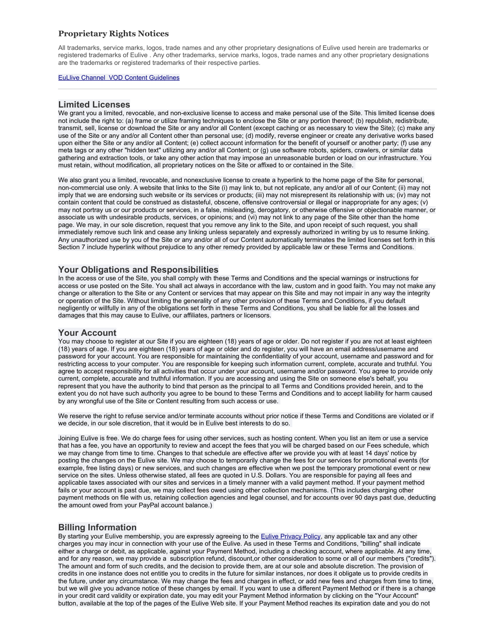All trademarks, service marks, logos, trade names and any other proprietary designations of Eulive used herein are trademarks or registered trademarks of Eulive . Any other trademarks, service marks, logos, trade names and any other proprietary designations are the trademarks or registered trademarks of their respective parties.

#### [EuLlive Channel VOD Content Guidelines](https://eulive.eu/roku/content-guidelines)

### **Limited Licenses**

We grant you a limited, revocable, and non-exclusive license to access and make personal use of the Site. This limited license does not include the right to: (a) frame or utilize framing techniques to enclose the Site or any portion thereof; (b) republish, redistribute, transmit, sell, license or download the Site or any and/or all Content (except caching or as necessary to view the Site); (c) make any use of the Site or any and/or all Content other than personal use; (d) modify, reverse engineer or create any derivative works based upon either the Site or any and/or all Content; (e) collect account information for the benefit of yourself or another party; (f) use any meta tags or any other "hidden text" utilizing any and/or all Content; or (g) use software robots, spiders, crawlers, or similar data gathering and extraction tools, or take any other action that may impose an unreasonable burden or load on our infrastructure. You must retain, without modification, all proprietary notices on the Site or affixed to or contained in the Site.

We also grant you a limited, revocable, and nonexclusive license to create a hyperlink to the home page of the Site for personal, non-commercial use only. A website that links to the Site (i) may link to, but not replicate, any and/or all of our Content; (ii) may not imply that we are endorsing such website or its services or products; (iii) may not misrepresent its relationship with us; (iv) may not contain content that could be construed as distasteful, obscene, offensive controversial or illegal or inappropriate for any ages; (v) may not portray us or our products or services, in a false, misleading, derogatory, or otherwise offensive or objectionable manner, or associate us with undesirable products, services, or opinions; and (vi) may not link to any page of the Site other than the home page. We may, in our sole discretion, request that you remove any link to the Site, and upon receipt of such request, you shall immediately remove such link and cease any linking unless separately and expressly authorized in writing by us to resume linking. Any unauthorized use by you of the Site or any and/or all of our Content automatically terminates the limited licenses set forth in this Section 7 include hyperlink without prejudice to any other remedy provided by applicable law or these Terms and Conditions.

## **Your Obligations and Responsibilities**

In the access or use of the Site, you shall comply with these Terms and Conditions and the special warnings or instructions for access or use posted on the Site. You shall act always in accordance with the law, custom and in good faith. You may not make any change or alteration to the Site or any Content or services that may appear on this Site and may not impair in any way the integrity or operation of the Site. Without limiting the generality of any other provision of these Terms and Conditions, if you default negligently or willfully in any of the obligations set forth in these Terms and Conditions, you shall be liable for all the losses and damages that this may cause to Eulive, our affiliates, partners or licensors.

## **Your Account**

You may choose to register at our Site if you are eighteen (18) years of age or older. Do not register if you are not at least eighteen (18) years of age. If you are eighteen (18) years of age or older and do register, you will have an email address/username and password for your account. You are responsible for maintaining the confidentiality of your account, username and password and for restricting access to your computer. You are responsible for keeping such information current, complete, accurate and truthful. You agree to accept responsibility for all activities that occur under your account, username and/or password. You agree to provide only current, complete, accurate and truthful information. If you are accessing and using the Site on someone else's behalf, you represent that you have the authority to bind that person as the principal to all Terms and Conditions provided herein, and to the extent you do not have such authority you agree to be bound to these Terms and Conditions and to accept liability for harm caused by any wrongful use of the Site or Content resulting from such access or use.

We reserve the right to refuse service and/or terminate accounts without prior notice if these Terms and Conditions are violated or if we decide, in our sole discretion, that it would be in Eulive best interests to do so.

Joining Eulive is free. We do charge fees for using other services, such as hosting content. When you list an item or use a service that has a fee, you have an opportunity to review and accept the fees that you will be charged based on our Fees schedule, which we may change from time to time. Changes to that schedule are effective after we provide you with at least 14 days' notice by posting the changes on the Eulive site. We may choose to temporarily change the fees for our services for promotional events (for example, free listing days) or new services, and such changes are effective when we post the temporary promotional event or new service on the sites. Unless otherwise stated, all fees are quoted in U.S. Dollars. You are responsible for paying all fees and applicable taxes associated with our sites and services in a timely manner with a valid payment method. If your payment method fails or your account is past due, we may collect fees owed using other collection mechanisms. (This includes charging other payment methods on file with us, retaining collection agencies and legal counsel, and for accounts over 90 days past due, deducting the amount owed from your PayPal account balance.)

# **Billing Information**

By starting your Eulive membership, you are expressly agreeing to the [Eulive Privacy Policy,](http://eulive.eu/Privacy_Policy) any applicable tax and any other charges you may incur in connection with your use of the Eulive. As used in these Terms and Conditions, "billing" shall indicate either a charge or debit, as applicable, against your Payment Method, including a checking account, where applicable. At any time, and for any reason, we may provide a subscription refund, discount,or other consideration to some or all of our members ("credits"). The amount and form of such credits, and the decision to provide them, are at our sole and absolute discretion. The provision of credits in one instance does not entitle you to credits in the future for similar instances, nor does it obligate us to provide credits in the future, under any circumstance. We may change the fees and charges in effect, or add new fees and charges from time to time, but we will give you advance notice of these changes by email. If you want to use a different Payment Method or if there is a change in your credit card validity or expiration date, you may edit your Payment Method information by clicking on the "Your Account" button, available at the top of the pages of the Eulive Web site. If your Payment Method reaches its expiration date and you do not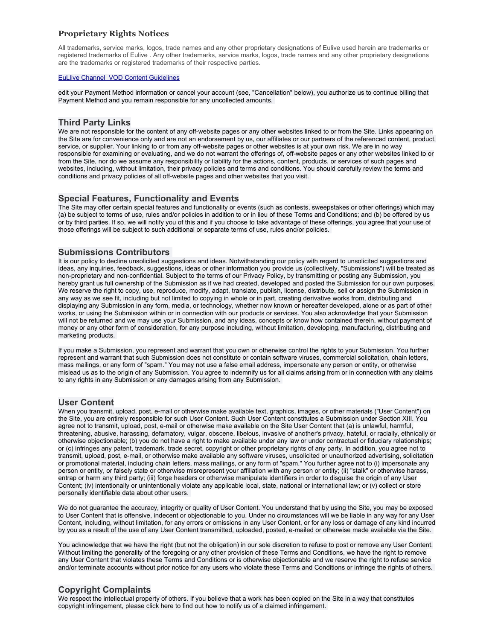All trademarks, service marks, logos, trade names and any other proprietary designations of Eulive used herein are trademarks or registered trademarks of Eulive . Any other trademarks, service marks, logos, trade names and any other proprietary designations are the trademarks or registered trademarks of their respective parties.

#### [EuLlive Channel VOD Content Guidelines](https://eulive.eu/roku/content-guidelines)

edit your Payment Method information or cancel your account (see, "Cancellation" below), you authorize us to continue billing that Payment Method and you remain responsible for any uncollected amounts.

## **Third Party Links**

We are not responsible for the content of any off-website pages or any other websites linked to or from the Site. Links appearing on the Site are for convenience only and are not an endorsement by us, our affiliates or our partners of the referenced content, product, service, or supplier. Your linking to or from any off-website pages or other websites is at your own risk. We are in no way responsible for examining or evaluating, and we do not warrant the offerings of, off-website pages or any other websites linked to or from the Site, nor do we assume any responsibility or liability for the actions, content, products, or services of such pages and websites, including, without limitation, their privacy policies and terms and conditions. You should carefully review the terms and conditions and privacy policies of all off-website pages and other websites that you visit.

# **Special Features, Functionality and Events**

The Site may offer certain special features and functionality or events (such as contests, sweepstakes or other offerings) which may (a) be subject to terms of use, rules and/or policies in addition to or in lieu of these Terms and Conditions; and (b) be offered by us or by third parties. If so, we will notify you of this and if you choose to take advantage of these offerings, you agree that your use of those offerings will be subject to such additional or separate terms of use, rules and/or policies.

# **Submissions Contributors**

It is our policy to decline unsolicited suggestions and ideas. Notwithstanding our policy with regard to unsolicited suggestions and ideas, any inquiries, feedback, suggestions, ideas or other information you provide us (collectively, "Submissions") will be treated as non-proprietary and non-confidential. Subject to the terms of our Privacy Policy, by transmitting or posting any Submission, you hereby grant us full ownership of the Submission as if we had created, developed and posted the Submission for our own purposes. We reserve the right to copy, use, reproduce, modify, adapt, translate, publish, license, distribute, sell or assign the Submission in any way as we see fit, including but not limited to copying in whole or in part, creating derivative works from, distributing and displaying any Submission in any form, media, or technology, whether now known or hereafter developed, alone or as part of other works, or using the Submission within or in connection with our products or services. You also acknowledge that your Submission will not be returned and we may use your Submission, and any ideas, concepts or know how contained therein, without payment of money or any other form of consideration, for any purpose including, without limitation, developing, manufacturing, distributing and marketing products.

If you make a Submission, you represent and warrant that you own or otherwise control the rights to your Submission. You further represent and warrant that such Submission does not constitute or contain software viruses, commercial solicitation, chain letters, mass mailings, or any form of "spam." You may not use a false email address, impersonate any person or entity, or otherwise mislead us as to the origin of any Submission. You agree to indemnify us for all claims arising from or in connection with any claims to any rights in any Submission or any damages arising from any Submission.

## **User Content**

When you transmit, upload, post, e-mail or otherwise make available text, graphics, images, or other materials ("User Content") on the Site, you are entirely responsible for such User Content. Such User Content constitutes a Submission under Section XIII. You agree not to transmit, upload, post, e-mail or otherwise make available on the Site User Content that (a) is unlawful, harmful, threatening, abusive, harassing, defamatory, vulgar, obscene, libelous, invasive of another's privacy, hateful, or racially, ethnically or otherwise objectionable; (b) you do not have a right to make available under any law or under contractual or fiduciary relationships; or (c) infringes any patent, trademark, trade secret, copyright or other proprietary rights of any party. In addition, you agree not to transmit, upload, post, e-mail, or otherwise make available any software viruses, unsolicited or unauthorized advertising, solicitation or promotional material, including chain letters, mass mailings, or any form of "spam." You further agree not to (i) impersonate any person or entity, or falsely state or otherwise misrepresent your affiliation with any person or entity; (ii) "stalk" or otherwise harass, entrap or harm any third party; (iii) forge headers or otherwise manipulate identifiers in order to disguise the origin of any User Content; (iv) intentionally or unintentionally violate any applicable local, state, national or international law; or (v) collect or store personally identifiable data about other users.

We do not guarantee the accuracy, integrity or quality of User Content. You understand that by using the Site, you may be exposed to User Content that is offensive, indecent or objectionable to you. Under no circumstances will we be liable in any way for any User Content, including, without limitation, for any errors or omissions in any User Content, or for any loss or damage of any kind incurred by you as a result of the use of any User Content transmitted, uploaded, posted, e-mailed or otherwise made available via the Site.

You acknowledge that we have the right (but not the obligation) in our sole discretion to refuse to post or remove any User Content. Without limiting the generality of the foregoing or any other provision of these Terms and Conditions, we have the right to remove any User Content that violates these Terms and Conditions or is otherwise objectionable and we reserve the right to refuse service and/or terminate accounts without prior notice for any users who violate these Terms and Conditions or infringe the rights of others.

# **Copyright Complaints**

We respect the intellectual property of others. If you believe that a work has been copied on the Site in a way that constitutes copyright infringement, please click here to find out how to notify us of a claimed infringement.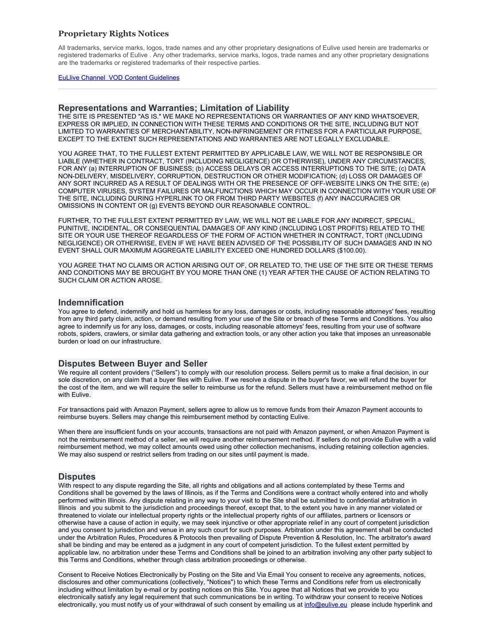All trademarks, service marks, logos, trade names and any other proprietary designations of Eulive used herein are trademarks or registered trademarks of Eulive . Any other trademarks, service marks, logos, trade names and any other proprietary designations are the trademarks or registered trademarks of their respective parties.

#### [EuLlive Channel VOD Content Guidelines](https://eulive.eu/roku/content-guidelines)

### **Representations and Warranties; Limitation of Liability**

THE SITE IS PRESENTED "AS IS." WE MAKE NO REPRESENTATIONS OR WARRANTIES OF ANY KIND WHATSOEVER, EXPRESS OR IMPLIED, IN CONNECTION WITH THESE TERMS AND CONDITIONS OR THE SITE, INCLUDING BUT NOT LIMITED TO WARRANTIES OF MERCHANTABILITY, NON-INFRINGEMENT OR FITNESS FOR A PARTICULAR PURPOSE, EXCEPT TO THE EXTENT SUCH REPRESENTATIONS AND WARRANTIES ARE NOT LEGALLY EXCLUDABLE.

YOU AGREE THAT, TO THE FULLEST EXTENT PERMITTED BY APPLICABLE LAW, WE WILL NOT BE RESPONSIBLE OR LIABLE (WHETHER IN CONTRACT, TORT (INCLUDING NEGLIGENCE) OR OTHERWISE), UNDER ANY CIRCUMSTANCES, FOR ANY (a) INTERRUPTION OF BUSINESS; (b) ACCESS DELAYS OR ACCESS INTERRUPTIONS TO THE SITE; (c) DATA NON-DELIVERY, MISDELIVERY, CORRUPTION, DESTRUCTION OR OTHER MODIFICATION; (d) LOSS OR DAMAGES OF ANY SORT INCURRED AS A RESULT OF DEALINGS WITH OR THE PRESENCE OF OFF-WEBSITE LINKS ON THE SITE; (e) COMPUTER VIRUSES, SYSTEM FAILURES OR MALFUNCTIONS WHICH MAY OCCUR IN CONNECTION WITH YOUR USE OF THE SITE, INCLUDING DURING HYPERLINK TO OR FROM THIRD PARTY WEBSITES (f) ANY INACCURACIES OR OMISSIONS IN CONTENT OR (g) EVENTS BEYOND OUR REASONABLE CONTROL.

FURTHER, TO THE FULLEST EXTENT PERMITTED BY LAW, WE WILL NOT BE LIABLE FOR ANY INDIRECT, SPECIAL, PUNITIVE, INCIDENTAL, OR CONSEQUENTIAL DAMAGES OF ANY KIND (INCLUDING LOST PROFITS) RELATED TO THE SITE OR YOUR USE THEREOF REGARDLESS OF THE FORM OF ACTION WHETHER IN CONTRACT, TORT (INCLUDING NEGLIGENCE) OR OTHERWISE, EVEN IF WE HAVE BEEN ADVISED OF THE POSSIBILITY OF SUCH DAMAGES AND IN NO EVENT SHALL OUR MAXIMUM AGGREGATE LIABILITY EXCEED ONE HUNDRED DOLLARS (\$100.00).

YOU AGREE THAT NO CLAIMS OR ACTION ARISING OUT OF, OR RELATED TO, THE USE OF THE SITE OR THESE TERMS AND CONDITIONS MAY BE BROUGHT BY YOU MORE THAN ONE (1) YEAR AFTER THE CAUSE OF ACTION RELATING TO SUCH CLAIM OR ACTION AROSE.

#### **Indemnification**

You agree to defend, indemnify and hold us harmless for any loss, damages or costs, including reasonable attorneys' fees, resulting from any third party claim, action, or demand resulting from your use of the Site or breach of these Terms and Conditions. You also agree to indemnify us for any loss, damages, or costs, including reasonable attorneys' fees, resulting from your use of software robots, spiders, crawlers, or similar data gathering and extraction tools, or any other action you take that imposes an unreasonable burden or load on our infrastructure.

### **Disputes Between Buyer and Seller**

We require all content providers ("Sellers") to comply with our resolution process. Sellers permit us to make a final decision, in our sole discretion, on any claim that a buyer files with Eulive. If we resolve a dispute in the buyer's favor, we will refund the buyer for the cost of the item, and we will require the seller to reimburse us for the refund. Sellers must have a reimbursement method on file with Eulive.

For transactions paid with Amazon Payment, sellers agree to allow us to remove funds from their Amazon Payment accounts to reimburse buyers. Sellers may change this reimbursement method by contacting Eulive.

When there are insufficient funds on your accounts, transactions are not paid with Amazon payment, or when Amazon Payment is not the reimbursement method of a seller, we will require another reimbursement method. If sellers do not provide Eulive with a valid reimbursement method, we may collect amounts owed using other collection mechanisms, including retaining collection agencies. We may also suspend or restrict sellers from trading on our sites until payment is made.

## **Disputes**

With respect to any dispute regarding the Site, all rights and obligations and all actions contemplated by these Terms and Conditions shall be governed by the laws of Illinois, as if the Terms and Conditions were a contract wholly entered into and wholly performed within Illinois. Any dispute relating in any way to your visit to the Site shall be submitted to confidential arbitration in Illinois and you submit to the jurisdiction and proceedings thereof, except that, to the extent you have in any manner violated or threatened to violate our intellectual property rights or the intellectual property rights of our affiliates, partners or licensors or otherwise have a cause of action in equity, we may seek injunctive or other appropriate relief in any court of competent jurisdiction and you consent to jurisdiction and venue in any such court for such purposes. Arbitration under this agreement shall be conducted under the Arbitration Rules, Procedures & Protocols then prevailing of Dispute Prevention & Resolution, Inc. The arbitrator's award shall be binding and may be entered as a judgment in any court of competent jurisdiction. To the fullest extent permitted by applicable law, no arbitration under these Terms and Conditions shall be joined to an arbitration involving any other party subject to this Terms and Conditions, whether through class arbitration proceedings or otherwise.

Consent to Receive Notices Electronically by Posting on the Site and Via Email You consent to receive any agreements, notices, disclosures and other communications (collectively, "Notices") to which these Terms and Conditions refer from us electronically including without limitation by e-mail or by posting notices on this Site. You agree that all Notices that we provide to you electronically satisfy any legal requirement that such communications be in writing. To withdraw your consent to receive Notices electronically, you must notify us of your withdrawal of such consent by emailing us at [info@eulive.eu](mailto:info@eulive.eu) please include hyperlink and